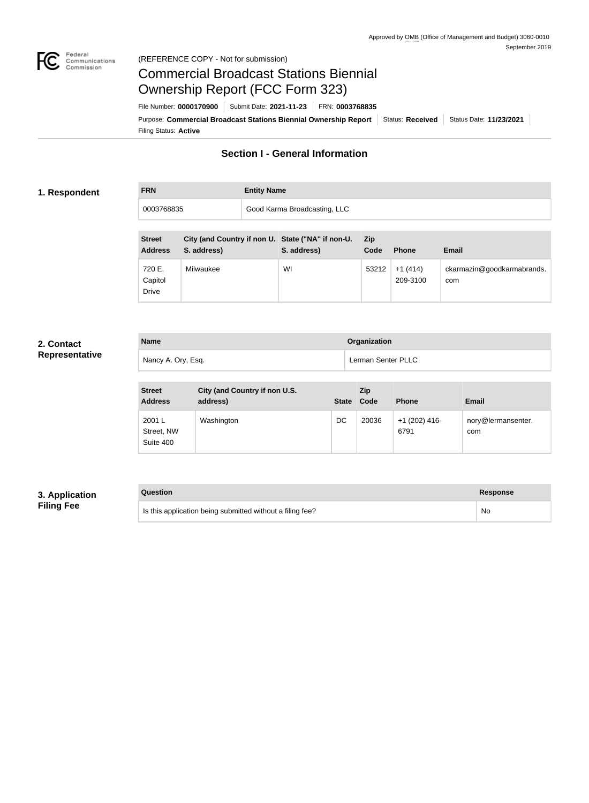

#### Federal<br>Communications<br>Commission (REFERENCE COPY - Not for submission)

# Commercial Broadcast Stations Biennial Ownership Report (FCC Form 323)

Filing Status: **Active** Purpose: Commercial Broadcast Stations Biennial Ownership Report Status: Received Status Date: 11/23/2021 File Number: **0000170900** Submit Date: **2021-11-23** FRN: **0003768835**

# **Section I - General Information**

#### **1. Respondent**

# **FRN Entity Name** 0003768835 Good Karma Broadcasting, LLC

| <b>Street</b><br><b>Address</b>   | City (and Country if non U. State ("NA" if non-U.<br>S. address) | S. address) | <b>Zip</b><br>Code | <b>Phone</b>          | <b>Email</b>                      |
|-----------------------------------|------------------------------------------------------------------|-------------|--------------------|-----------------------|-----------------------------------|
| 720 E.<br>Capitol<br><b>Drive</b> | Milwaukee                                                        | WI          | 53212              | $+1(414)$<br>209-3100 | ckarmazin@goodkarmabrands.<br>com |

#### **2. Contact Representative**

| <b>Name</b>        | Organization       |
|--------------------|--------------------|
| Nancy A. Ory, Esq. | Lerman Senter PLLC |

| <b>Street</b><br><b>Address</b>  | City (and Country if non U.S.<br>address) | State Code | Zip   | <b>Phone</b>            | Email                     |
|----------------------------------|-------------------------------------------|------------|-------|-------------------------|---------------------------|
| 2001L<br>Street, NW<br>Suite 400 | Washington                                | DC         | 20036 | $+1$ (202) 416-<br>6791 | nory@lermansenter.<br>com |

## **3. Application Filing Fee**

# **Question Response** Is this application being submitted without a filing fee? No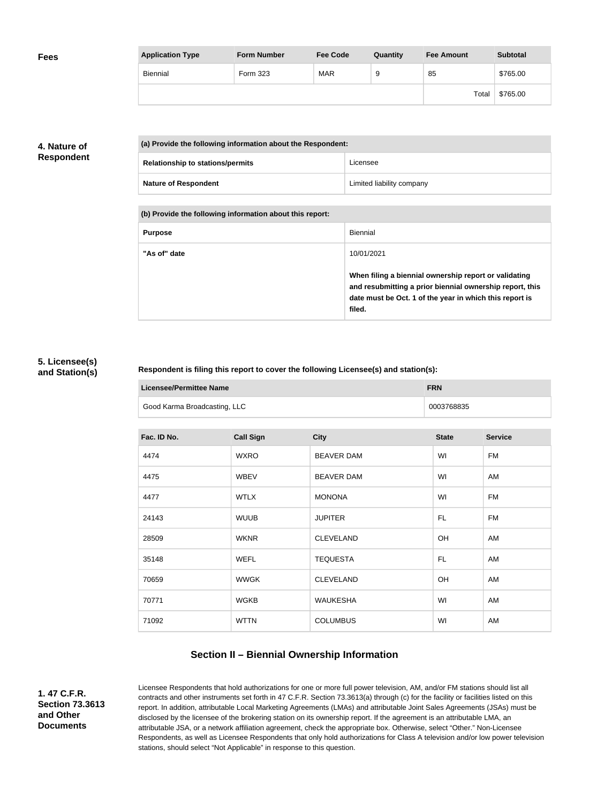| <b>Fees</b> | <b>Application Type</b> | <b>Form Number</b> | <b>Fee Code</b> | Quantity | <b>Fee Amount</b> | <b>Subtotal</b> |
|-------------|-------------------------|--------------------|-----------------|----------|-------------------|-----------------|
|             | Biennial                | Form 323           | MAR             | 9        | 85                | \$765.00        |
|             |                         |                    |                 |          | Total             | \$765.00        |

## **4. Nature of Respondent**

| (a) Provide the following information about the Respondent: |                           |  |  |
|-------------------------------------------------------------|---------------------------|--|--|
| <b>Relationship to stations/permits</b>                     | Licensee                  |  |  |
| <b>Nature of Respondent</b>                                 | Limited liability company |  |  |

**(b) Provide the following information about this report:**

| <b>Purpose</b> | Biennial                                                                                                                                                                               |
|----------------|----------------------------------------------------------------------------------------------------------------------------------------------------------------------------------------|
| "As of" date   | 10/01/2021                                                                                                                                                                             |
|                | When filing a biennial ownership report or validating<br>and resubmitting a prior biennial ownership report, this<br>date must be Oct. 1 of the year in which this report is<br>filed. |

#### **5. Licensee(s) and Station(s)**

#### **Respondent is filing this report to cover the following Licensee(s) and station(s):**

| Licensee/Permittee Name      | <b>FRN</b> |
|------------------------------|------------|
| Good Karma Broadcasting, LLC | 0003768835 |

| Fac. ID No. | <b>Call Sign</b> | <b>City</b>       | <b>State</b> | <b>Service</b> |
|-------------|------------------|-------------------|--------------|----------------|
| 4474        | <b>WXRO</b>      | <b>BEAVER DAM</b> | WI           | <b>FM</b>      |
| 4475        | <b>WBEV</b>      | <b>BEAVER DAM</b> | WI           | AM             |
| 4477        | <b>WTLX</b>      | <b>MONONA</b>     | WI           | <b>FM</b>      |
| 24143       | <b>WUUB</b>      | <b>JUPITER</b>    | FL.          | <b>FM</b>      |
| 28509       | <b>WKNR</b>      | <b>CLEVELAND</b>  | OH           | AM             |
| 35148       | <b>WEFL</b>      | <b>TEQUESTA</b>   | <b>FL</b>    | AM             |
| 70659       | <b>WWGK</b>      | <b>CLEVELAND</b>  | OH           | AM             |
| 70771       | <b>WGKB</b>      | <b>WAUKESHA</b>   | WI           | AM             |
| 71092       | <b>WTTN</b>      | <b>COLUMBUS</b>   | WI           | AM             |

# **Section II – Biennial Ownership Information**

**1. 47 C.F.R. Section 73.3613 and Other Documents**

Licensee Respondents that hold authorizations for one or more full power television, AM, and/or FM stations should list all contracts and other instruments set forth in 47 C.F.R. Section 73.3613(a) through (c) for the facility or facilities listed on this report. In addition, attributable Local Marketing Agreements (LMAs) and attributable Joint Sales Agreements (JSAs) must be disclosed by the licensee of the brokering station on its ownership report. If the agreement is an attributable LMA, an attributable JSA, or a network affiliation agreement, check the appropriate box. Otherwise, select "Other." Non-Licensee Respondents, as well as Licensee Respondents that only hold authorizations for Class A television and/or low power television stations, should select "Not Applicable" in response to this question.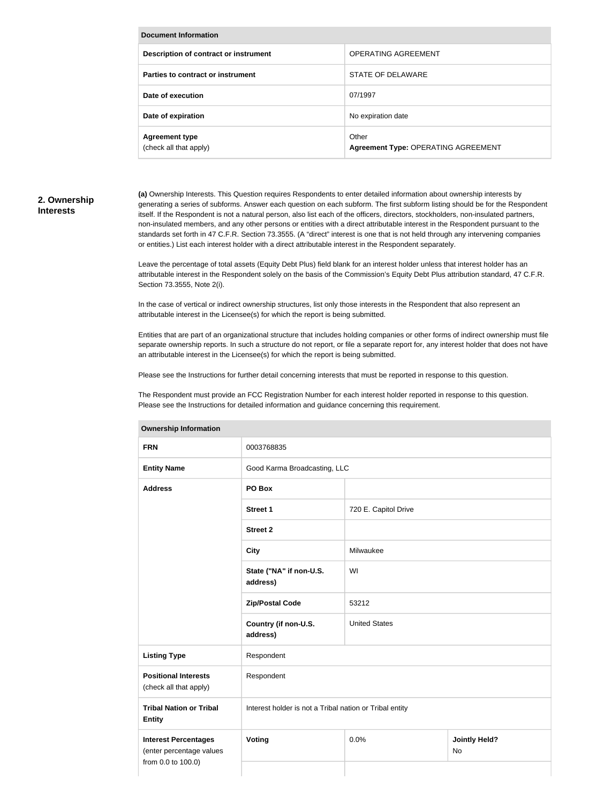| Document Information                            |                                                     |  |  |  |  |
|-------------------------------------------------|-----------------------------------------------------|--|--|--|--|
| Description of contract or instrument           | OPERATING AGREEMENT                                 |  |  |  |  |
| Parties to contract or instrument               | STATE OF DELAWARE                                   |  |  |  |  |
| Date of execution                               | 07/1997                                             |  |  |  |  |
| Date of expiration                              | No expiration date                                  |  |  |  |  |
| <b>Agreement type</b><br>(check all that apply) | Other<br><b>Agreement Type: OPERATING AGREEMENT</b> |  |  |  |  |

#### **2. Ownership Interests**

**(a)** Ownership Interests. This Question requires Respondents to enter detailed information about ownership interests by generating a series of subforms. Answer each question on each subform. The first subform listing should be for the Respondent itself. If the Respondent is not a natural person, also list each of the officers, directors, stockholders, non-insulated partners, non-insulated members, and any other persons or entities with a direct attributable interest in the Respondent pursuant to the standards set forth in 47 C.F.R. Section 73.3555. (A "direct" interest is one that is not held through any intervening companies or entities.) List each interest holder with a direct attributable interest in the Respondent separately.

Leave the percentage of total assets (Equity Debt Plus) field blank for an interest holder unless that interest holder has an attributable interest in the Respondent solely on the basis of the Commission's Equity Debt Plus attribution standard, 47 C.F.R. Section 73.3555, Note 2(i).

In the case of vertical or indirect ownership structures, list only those interests in the Respondent that also represent an attributable interest in the Licensee(s) for which the report is being submitted.

Entities that are part of an organizational structure that includes holding companies or other forms of indirect ownership must file separate ownership reports. In such a structure do not report, or file a separate report for, any interest holder that does not have an attributable interest in the Licensee(s) for which the report is being submitted.

Please see the Instructions for further detail concerning interests that must be reported in response to this question.

The Respondent must provide an FCC Registration Number for each interest holder reported in response to this question. Please see the Instructions for detailed information and guidance concerning this requirement.

| <b>FRN</b>                                                                    | 0003768835                                              |                                    |  |  |
|-------------------------------------------------------------------------------|---------------------------------------------------------|------------------------------------|--|--|
| <b>Entity Name</b>                                                            | Good Karma Broadcasting, LLC                            |                                    |  |  |
| <b>Address</b>                                                                | PO Box                                                  |                                    |  |  |
|                                                                               | <b>Street 1</b>                                         | 720 E. Capitol Drive               |  |  |
|                                                                               | <b>Street 2</b>                                         |                                    |  |  |
|                                                                               | <b>City</b>                                             | Milwaukee                          |  |  |
|                                                                               | State ("NA" if non-U.S.<br>address)                     | WI                                 |  |  |
|                                                                               | <b>Zip/Postal Code</b>                                  | 53212                              |  |  |
|                                                                               | Country (if non-U.S.<br>address)                        | <b>United States</b>               |  |  |
| <b>Listing Type</b>                                                           | Respondent                                              |                                    |  |  |
| <b>Positional Interests</b><br>(check all that apply)                         | Respondent                                              |                                    |  |  |
| <b>Tribal Nation or Tribal</b><br><b>Entity</b>                               | Interest holder is not a Tribal nation or Tribal entity |                                    |  |  |
| <b>Interest Percentages</b><br>(enter percentage values<br>from 0.0 to 100.0) | Voting                                                  | 0.0%<br><b>Jointly Held?</b><br>No |  |  |

#### **Ownership Information**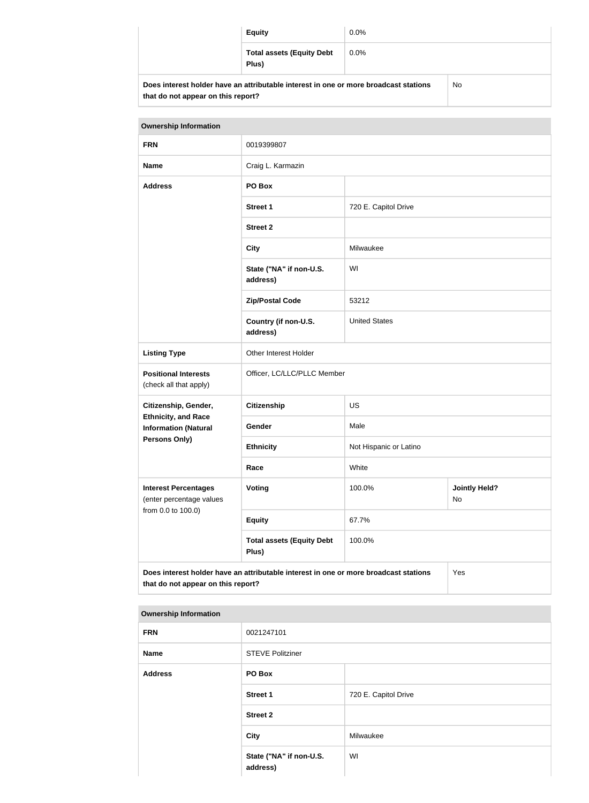|                                                                                            | <b>Equity</b>                             | $0.0\%$ |  |  |
|--------------------------------------------------------------------------------------------|-------------------------------------------|---------|--|--|
|                                                                                            | <b>Total assets (Equity Debt</b><br>Plus) | $0.0\%$ |  |  |
| Does interest holder have an attributable interest in one or more broadcast stations<br>No |                                           |         |  |  |

| <b>Ownership Information</b>                                                                                                      |                                           |                                      |  |  |  |  |
|-----------------------------------------------------------------------------------------------------------------------------------|-------------------------------------------|--------------------------------------|--|--|--|--|
| <b>FRN</b>                                                                                                                        | 0019399807                                |                                      |  |  |  |  |
| <b>Name</b>                                                                                                                       | Craig L. Karmazin                         |                                      |  |  |  |  |
| <b>Address</b>                                                                                                                    | PO Box                                    |                                      |  |  |  |  |
|                                                                                                                                   | <b>Street 1</b>                           | 720 E. Capitol Drive                 |  |  |  |  |
|                                                                                                                                   | <b>Street 2</b>                           |                                      |  |  |  |  |
|                                                                                                                                   | <b>City</b>                               | Milwaukee                            |  |  |  |  |
|                                                                                                                                   | State ("NA" if non-U.S.<br>address)       | WI                                   |  |  |  |  |
|                                                                                                                                   | <b>Zip/Postal Code</b>                    | 53212                                |  |  |  |  |
|                                                                                                                                   | Country (if non-U.S.<br>address)          | <b>United States</b>                 |  |  |  |  |
| <b>Listing Type</b>                                                                                                               | Other Interest Holder                     |                                      |  |  |  |  |
| <b>Positional Interests</b><br>(check all that apply)                                                                             | Officer, LC/LLC/PLLC Member               |                                      |  |  |  |  |
| Citizenship, Gender,                                                                                                              | <b>Citizenship</b>                        | <b>US</b>                            |  |  |  |  |
| <b>Ethnicity, and Race</b><br><b>Information (Natural</b>                                                                         | Gender                                    | Male                                 |  |  |  |  |
| Persons Only)                                                                                                                     | <b>Ethnicity</b>                          | Not Hispanic or Latino               |  |  |  |  |
|                                                                                                                                   | Race                                      | White                                |  |  |  |  |
| <b>Interest Percentages</b><br>(enter percentage values                                                                           | Voting                                    | <b>Jointly Held?</b><br>100.0%<br>No |  |  |  |  |
| from 0.0 to 100.0)                                                                                                                | <b>Equity</b>                             | 67.7%                                |  |  |  |  |
|                                                                                                                                   | <b>Total assets (Equity Debt</b><br>Plus) | 100.0%                               |  |  |  |  |
| Does interest holder have an attributable interest in one or more broadcast stations<br>Yes<br>that do not appear on this report? |                                           |                                      |  |  |  |  |

#### **Ownership Information**

**that do not appear on this report?**

| <b>FRN</b>     | 0021247101                          |                      |
|----------------|-------------------------------------|----------------------|
| Name           | <b>STEVE Politziner</b>             |                      |
| <b>Address</b> | PO Box                              |                      |
|                | <b>Street 1</b>                     | 720 E. Capitol Drive |
|                | <b>Street 2</b>                     |                      |
|                | <b>City</b>                         | Milwaukee            |
|                | State ("NA" if non-U.S.<br>address) | WI                   |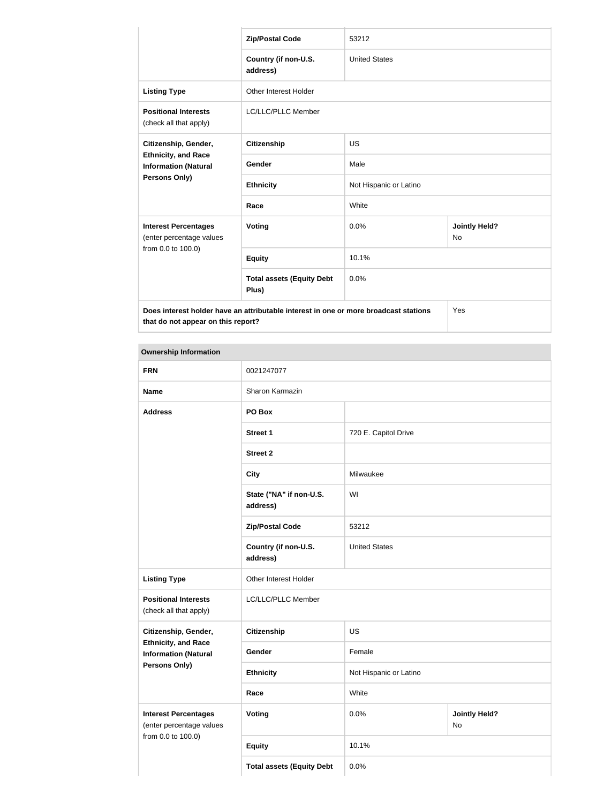|                                                           | <b>Zip/Postal Code</b>                                                               | 53212                  |                                   |
|-----------------------------------------------------------|--------------------------------------------------------------------------------------|------------------------|-----------------------------------|
|                                                           | Country (if non-U.S.<br>address)                                                     | <b>United States</b>   |                                   |
| <b>Listing Type</b>                                       | <b>Other Interest Holder</b>                                                         |                        |                                   |
| <b>Positional Interests</b><br>(check all that apply)     | <b>LC/LLC/PLLC Member</b>                                                            |                        |                                   |
| Citizenship, Gender,                                      | <b>Citizenship</b>                                                                   | <b>US</b>              |                                   |
| <b>Ethnicity, and Race</b><br><b>Information (Natural</b> | Gender                                                                               | Male                   |                                   |
| Persons Only)                                             | <b>Ethnicity</b>                                                                     | Not Hispanic or Latino |                                   |
|                                                           | Race                                                                                 | White                  |                                   |
| <b>Interest Percentages</b><br>(enter percentage values   | <b>Voting</b>                                                                        | 0.0%                   | <b>Jointly Held?</b><br><b>No</b> |
| from 0.0 to 100.0)                                        | <b>Equity</b>                                                                        | 10.1%                  |                                   |
|                                                           | <b>Total assets (Equity Debt</b><br>Plus)                                            | 0.0%                   |                                   |
| that do not appear on this report?                        | Does interest holder have an attributable interest in one or more broadcast stations |                        | Yes                               |

#### **Ownership Information**

| <b>FRN</b>                                                | 0021247077                          |                        |                            |
|-----------------------------------------------------------|-------------------------------------|------------------------|----------------------------|
| <b>Name</b>                                               | Sharon Karmazin                     |                        |                            |
| <b>Address</b>                                            | PO Box                              |                        |                            |
|                                                           | Street 1                            | 720 E. Capitol Drive   |                            |
|                                                           | <b>Street 2</b>                     |                        |                            |
|                                                           | <b>City</b>                         | Milwaukee              |                            |
|                                                           | State ("NA" if non-U.S.<br>address) | WI                     |                            |
|                                                           | <b>Zip/Postal Code</b>              | 53212                  |                            |
|                                                           | Country (if non-U.S.<br>address)    | <b>United States</b>   |                            |
| <b>Listing Type</b>                                       | Other Interest Holder               |                        |                            |
| <b>Positional Interests</b><br>(check all that apply)     | LC/LLC/PLLC Member                  |                        |                            |
| Citizenship, Gender,                                      | <b>Citizenship</b>                  | <b>US</b>              |                            |
| <b>Ethnicity, and Race</b><br><b>Information (Natural</b> | Gender                              | Female                 |                            |
| Persons Only)                                             | <b>Ethnicity</b>                    | Not Hispanic or Latino |                            |
|                                                           | Race                                | White                  |                            |
| <b>Interest Percentages</b><br>(enter percentage values   | <b>Voting</b>                       | 0.0%                   | <b>Jointly Held?</b><br>No |
| from 0.0 to 100.0)                                        | <b>Equity</b>                       | 10.1%                  |                            |
|                                                           | <b>Total assets (Equity Debt</b>    | 0.0%                   |                            |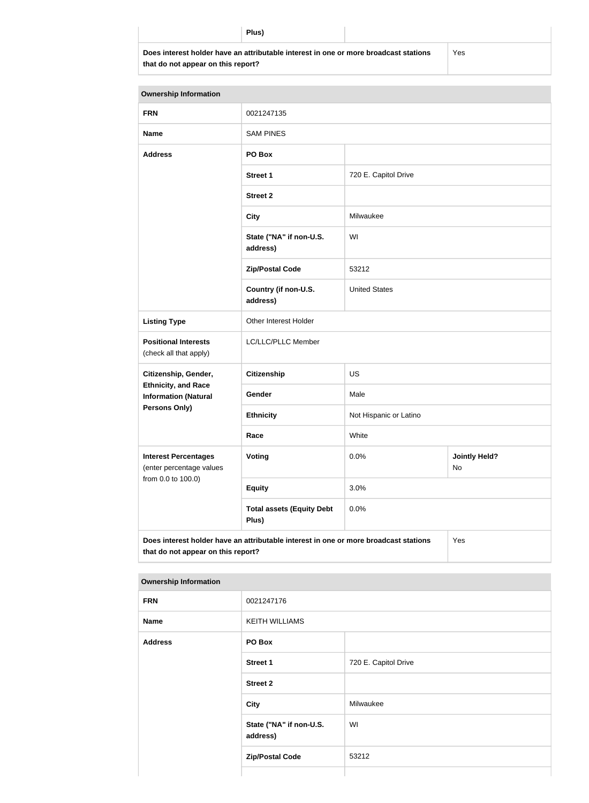**Does interest holder have an attributable interest in one or more broadcast stations that do not appear on this report?**

Yes

| <b>Ownership Information</b>                              |                                                                                      |                        |                            |
|-----------------------------------------------------------|--------------------------------------------------------------------------------------|------------------------|----------------------------|
| <b>FRN</b>                                                | 0021247135                                                                           |                        |                            |
| <b>Name</b>                                               | <b>SAM PINES</b>                                                                     |                        |                            |
| <b>Address</b>                                            | PO Box                                                                               |                        |                            |
|                                                           | <b>Street 1</b>                                                                      | 720 E. Capitol Drive   |                            |
|                                                           | <b>Street 2</b>                                                                      |                        |                            |
|                                                           | <b>City</b>                                                                          | Milwaukee              |                            |
|                                                           | State ("NA" if non-U.S.<br>address)                                                  | WI                     |                            |
|                                                           | <b>Zip/Postal Code</b>                                                               | 53212                  |                            |
|                                                           | Country (if non-U.S.<br>address)                                                     | <b>United States</b>   |                            |
| <b>Listing Type</b>                                       | Other Interest Holder                                                                |                        |                            |
| <b>Positional Interests</b><br>(check all that apply)     | LC/LLC/PLLC Member                                                                   |                        |                            |
| Citizenship, Gender,                                      | <b>Citizenship</b>                                                                   | <b>US</b>              |                            |
| <b>Ethnicity, and Race</b><br><b>Information (Natural</b> | Gender                                                                               | Male                   |                            |
| <b>Persons Only)</b>                                      | <b>Ethnicity</b>                                                                     | Not Hispanic or Latino |                            |
|                                                           | Race                                                                                 | White                  |                            |
| <b>Interest Percentages</b><br>(enter percentage values   | Voting                                                                               | 0.0%                   | <b>Jointly Held?</b><br>No |
| from 0.0 to 100.0)                                        | <b>Equity</b>                                                                        | 3.0%                   |                            |
|                                                           | <b>Total assets (Equity Debt</b><br>Plus)                                            | 0.0%                   |                            |
| that do not appear on this report?                        | Does interest holder have an attributable interest in one or more broadcast stations |                        | Yes                        |

| <b>Ownership Information</b> |  |  |
|------------------------------|--|--|

| <b>FRN</b>     | 0021247176                          |                      |
|----------------|-------------------------------------|----------------------|
| <b>Name</b>    | <b>KEITH WILLIAMS</b>               |                      |
| <b>Address</b> | PO Box                              |                      |
|                | <b>Street 1</b>                     | 720 E. Capitol Drive |
|                | <b>Street 2</b>                     |                      |
|                | City                                | Milwaukee            |
|                | State ("NA" if non-U.S.<br>address) | WI                   |
|                | <b>Zip/Postal Code</b>              | 53212                |
|                |                                     |                      |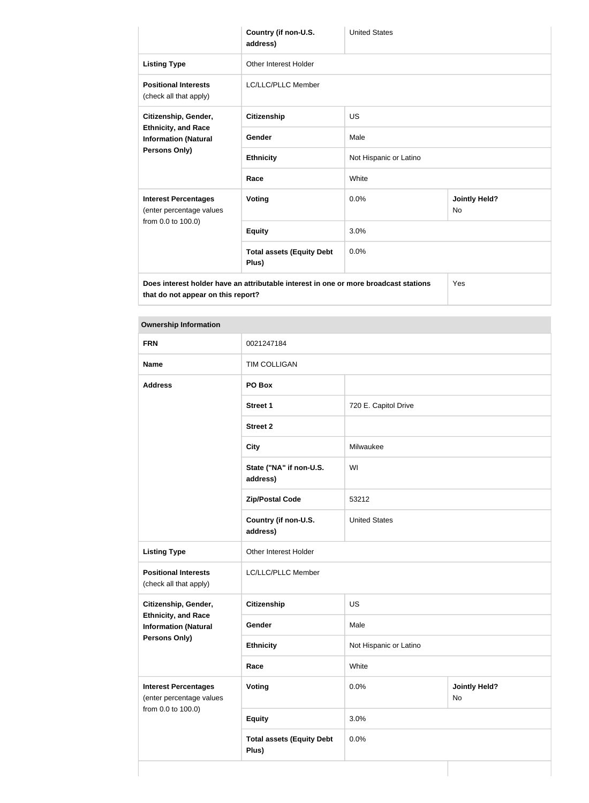|                                                           | Country (if non-U.S.<br>address)                                                     | <b>United States</b>   |                            |
|-----------------------------------------------------------|--------------------------------------------------------------------------------------|------------------------|----------------------------|
| <b>Listing Type</b>                                       | <b>Other Interest Holder</b>                                                         |                        |                            |
| <b>Positional Interests</b><br>(check all that apply)     | <b>LC/LLC/PLLC Member</b>                                                            |                        |                            |
| Citizenship, Gender,                                      | <b>Citizenship</b>                                                                   | <b>US</b>              |                            |
| <b>Ethnicity, and Race</b><br><b>Information (Natural</b> | Gender                                                                               | Male                   |                            |
| Persons Only)                                             | <b>Ethnicity</b>                                                                     | Not Hispanic or Latino |                            |
|                                                           | Race                                                                                 | White                  |                            |
| <b>Interest Percentages</b><br>(enter percentage values   | Voting                                                                               | 0.0%                   | <b>Jointly Held?</b><br>No |
| from 0.0 to 100.0)                                        | <b>Equity</b>                                                                        | 3.0%                   |                            |
|                                                           | <b>Total assets (Equity Debt</b><br>Plus)                                            | 0.0%                   |                            |
| that do not appear on this report?                        | Does interest holder have an attributable interest in one or more broadcast stations |                        | Yes                        |

| <b>Ownership Information</b>                              |                                     |                        |                            |
|-----------------------------------------------------------|-------------------------------------|------------------------|----------------------------|
| <b>FRN</b>                                                | 0021247184                          |                        |                            |
| <b>Name</b>                                               | TIM COLLIGAN                        |                        |                            |
| <b>Address</b>                                            | PO Box                              |                        |                            |
|                                                           | Street 1                            | 720 E. Capitol Drive   |                            |
|                                                           | <b>Street 2</b>                     |                        |                            |
|                                                           | <b>City</b>                         | Milwaukee              |                            |
|                                                           | State ("NA" if non-U.S.<br>address) | WI                     |                            |
|                                                           | <b>Zip/Postal Code</b>              | 53212                  |                            |
|                                                           | Country (if non-U.S.<br>address)    | <b>United States</b>   |                            |
| <b>Listing Type</b>                                       | Other Interest Holder               |                        |                            |
| <b>Positional Interests</b><br>(check all that apply)     | LC/LLC/PLLC Member                  |                        |                            |
| Citizenship, Gender,                                      | <b>Citizenship</b>                  | US                     |                            |
| <b>Ethnicity, and Race</b><br><b>Information (Natural</b> | Gender                              | Male                   |                            |
| <b>Persons Only)</b>                                      | <b>Ethnicity</b>                    | Not Hispanic or Latino |                            |
|                                                           | Race                                | White                  |                            |
| <b>Interest Percentages</b><br>(enter percentage values   | Voting                              | 0.0%                   | <b>Jointly Held?</b><br>No |
| from 0.0 to 100.0)                                        | <b>Equity</b>                       | 3.0%                   |                            |
|                                                           | <b>Total assets (Equity Debt</b>    | 0.0%                   |                            |

**Plus)**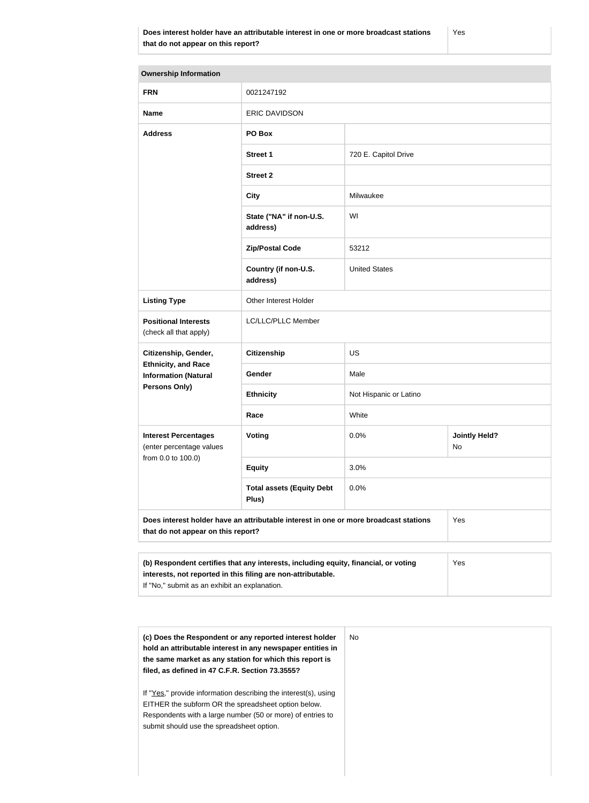| <b>Ownership Information</b>                                 |                                                                                      |                        |                            |
|--------------------------------------------------------------|--------------------------------------------------------------------------------------|------------------------|----------------------------|
| <b>FRN</b>                                                   | 0021247192                                                                           |                        |                            |
| <b>Name</b>                                                  | <b>ERIC DAVIDSON</b>                                                                 |                        |                            |
| <b>Address</b>                                               | PO Box                                                                               |                        |                            |
|                                                              | <b>Street 1</b>                                                                      | 720 E. Capitol Drive   |                            |
|                                                              | <b>Street 2</b>                                                                      |                        |                            |
|                                                              | <b>City</b>                                                                          | Milwaukee              |                            |
|                                                              | State ("NA" if non-U.S.<br>address)                                                  | WI                     |                            |
|                                                              | <b>Zip/Postal Code</b>                                                               | 53212                  |                            |
|                                                              | Country (if non-U.S.<br>address)                                                     | <b>United States</b>   |                            |
| <b>Listing Type</b>                                          | Other Interest Holder                                                                |                        |                            |
| <b>Positional Interests</b><br>(check all that apply)        | LC/LLC/PLLC Member                                                                   |                        |                            |
| Citizenship, Gender,                                         | <b>Citizenship</b>                                                                   | <b>US</b>              |                            |
| <b>Ethnicity, and Race</b><br><b>Information (Natural</b>    | Gender                                                                               | Male                   |                            |
| Persons Only)                                                | <b>Ethnicity</b>                                                                     | Not Hispanic or Latino |                            |
|                                                              | Race                                                                                 | White                  |                            |
| <b>Interest Percentages</b><br>(enter percentage values      | <b>Voting</b>                                                                        | 0.0%                   | <b>Jointly Held?</b><br>No |
| from 0.0 to 100.0)                                           | <b>Equity</b>                                                                        | 3.0%                   |                            |
|                                                              | <b>Total assets (Equity Debt</b><br>Plus)                                            | 0.0%                   |                            |
| that do not appear on this report?                           | Does interest holder have an attributable interest in one or more broadcast stations |                        | Yes                        |
|                                                              |                                                                                      |                        |                            |
| interests, not reported in this filing are non-attributable. | (b) Respondent certifies that any interests, including equity, financial, or voting  |                        | Yes                        |

If "No," submit as an exhibit an explanation.

| (c) Does the Respondent or any reported interest holder<br>hold an attributable interest in any newspaper entities in<br>the same market as any station for which this report is<br>filed, as defined in 47 C.F.R. Section 73.3555? | No. |
|-------------------------------------------------------------------------------------------------------------------------------------------------------------------------------------------------------------------------------------|-----|
| If "Yes," provide information describing the interest(s), using<br>EITHER the subform OR the spreadsheet option below.<br>Respondents with a large number (50 or more) of entries to<br>submit should use the spreadsheet option.   |     |
|                                                                                                                                                                                                                                     |     |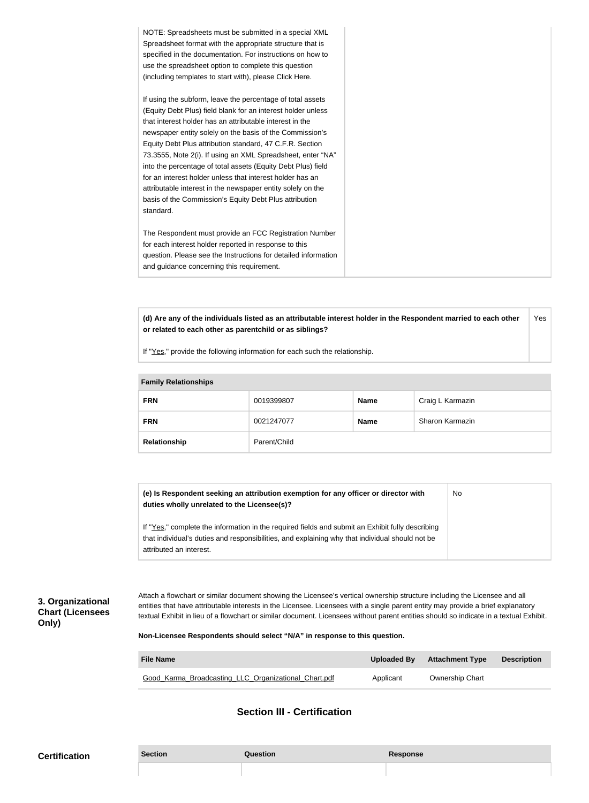| NOTE: Spreadsheets must be submitted in a special XML          |
|----------------------------------------------------------------|
| Spreadsheet format with the appropriate structure that is      |
| specified in the documentation. For instructions on how to     |
| use the spreadsheet option to complete this question           |
| (including templates to start with), please Click Here.        |
|                                                                |
| If using the subform, leave the percentage of total assets     |
| (Equity Debt Plus) field blank for an interest holder unless   |
| that interest holder has an attributable interest in the       |
| newspaper entity solely on the basis of the Commission's       |
| Equity Debt Plus attribution standard, 47 C.F.R. Section       |
| 73.3555, Note 2(i). If using an XML Spreadsheet, enter "NA"    |
| into the percentage of total assets (Equity Debt Plus) field   |
|                                                                |
| for an interest holder unless that interest holder has an      |
| attributable interest in the newspaper entity solely on the    |
| basis of the Commission's Equity Debt Plus attribution         |
| standard.                                                      |
|                                                                |
| The Respondent must provide an FCC Registration Number         |
| for each interest holder reported in response to this          |
| question. Please see the Instructions for detailed information |
| and guidance concerning this requirement.                      |
|                                                                |

**(d) Are any of the individuals listed as an attributable interest holder in the Respondent married to each other or related to each other as parentchild or as siblings?** Yes

If "Yes," provide the following information for each such the relationship.

| <b>Family Relationships</b> |              |             |                  |  |
|-----------------------------|--------------|-------------|------------------|--|
| <b>FRN</b>                  | 0019399807   | <b>Name</b> | Craig L Karmazin |  |
| <b>FRN</b>                  | 0021247077   | <b>Name</b> | Sharon Karmazin  |  |
| Relationship                | Parent/Child |             |                  |  |

| (e) Is Respondent seeking an attribution exemption for any officer or director with<br>duties wholly unrelated to the Licensee(s)?                                                                  | No |
|-----------------------------------------------------------------------------------------------------------------------------------------------------------------------------------------------------|----|
| If "Yes," complete the information in the required fields and submit an Exhibit fully describing<br>that individual's duties and responsibilities, and explaining why that individual should not be |    |
| attributed an interest.                                                                                                                                                                             |    |

**3. Organizational Chart (Licensees Only)**

Attach a flowchart or similar document showing the Licensee's vertical ownership structure including the Licensee and all entities that have attributable interests in the Licensee. Licensees with a single parent entity may provide a brief explanatory textual Exhibit in lieu of a flowchart or similar document. Licensees without parent entities should so indicate in a textual Exhibit.

**Non-Licensee Respondents should select "N/A" in response to this question.**

| <b>File Name</b>                                     | Uploaded By | <b>Attachment Type</b> | <b>Description</b> |
|------------------------------------------------------|-------------|------------------------|--------------------|
| Good Karma Broadcasting LLC Organizational Chart.pdf | Applicant   | <b>Ownership Chart</b> |                    |

## **Section III - Certification**

| <b>Certification</b> | <b>Section</b> | ู่<br>Question | <b>Response</b> |
|----------------------|----------------|----------------|-----------------|
|                      |                |                |                 |